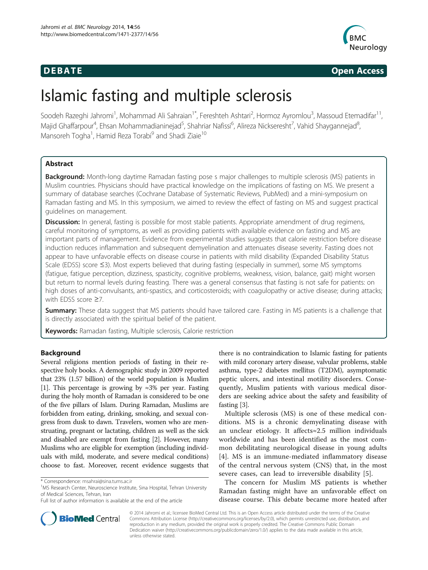

# **DEBATE CONSIDERED ACCESS Open Access**

# Islamic fasting and multiple sclerosis

Soodeh Razeghi Jahromi<sup>1</sup>, Mohammad Ali Sahraian<sup>1\*</sup>, Fereshteh Ashtari<sup>2</sup>, Hormoz Ayromlou<sup>3</sup>, Massoud Etemadifar<sup>11</sup>, Majid Ghaffarpour<sup>4</sup>, Ehsan Mohammadianinejad<sup>5</sup>, Shahriar Nafissi<sup>6</sup>, Alireza Nickseresht<sup>7</sup>, Vahid Shaygannejad<sup>8</sup> , Mansoreh Togha<sup>1</sup>, Hamid Reza Torabi<sup>9</sup> and Shadi Ziaie<sup>10</sup>

# Abstract

Background: Month-long daytime Ramadan fasting pose s major challenges to multiple sclerosis (MS) patients in Muslim countries. Physicians should have practical knowledge on the implications of fasting on MS. We present a summary of database searches (Cochrane Database of Systematic Reviews, PubMed) and a mini-symposium on Ramadan fasting and MS. In this symposium, we aimed to review the effect of fasting on MS and suggest practical guidelines on management.

Discussion: In general, fasting is possible for most stable patients. Appropriate amendment of drug regimens, careful monitoring of symptoms, as well as providing patients with available evidence on fasting and MS are important parts of management. Evidence from experimental studies suggests that calorie restriction before disease induction reduces inflammation and subsequent demyelination and attenuates disease severity. Fasting does not appear to have unfavorable effects on disease course in patients with mild disability (Expanded Disability Status Scale (EDSS) score ≤3). Most experts believed that during fasting (especially in summer), some MS symptoms (fatigue, fatigue perception, dizziness, spasticity, cognitive problems, weakness, vision, balance, gait) might worsen but return to normal levels during feasting. There was a general consensus that fasting is not safe for patients: on high doses of anti-convulsants, anti-spastics, and corticosteroids; with coagulopathy or active disease; during attacks; with EDSS score ≥7.

Summary: These data suggest that MS patients should have tailored care. Fasting in MS patients is a challenge that is directly associated with the spiritual belief of the patient.

Keywords: Ramadan fasting, Multiple sclerosis, Calorie restriction

# Background

Several religions mention periods of fasting in their respective holy books. A demographic study in 2009 reported that 23% (1.57 billion) of the world population is Muslim [[1](#page-6-0)]. This percentage is growing by  $\approx 3\%$  per year. Fasting during the holy month of Ramadan is considered to be one of the five pillars of Islam. During Ramadan, Muslims are forbidden from eating, drinking, smoking, and sexual congress from dusk to dawn. Travelers, women who are menstruating, pregnant or lactating, children as well as the sick and disabled are exempt from fasting [[2](#page-6-0)]. However, many Muslims who are eligible for exemption (including individuals with mild, moderate, and severe medical conditions) choose to fast. Moreover, recent evidence suggests that



Multiple sclerosis (MS) is one of these medical conditions. MS is a chronic demyelinating disease with an unclear etiology. It affects≈2.5 million individuals worldwide and has been identified as the most common debilitating neurological disease in young adults [[4\]](#page-6-0). MS is an immune-mediated inflammatory disease of the central nervous system (CNS) that, in the most severe cases, can lead to irreversible disability [[5\]](#page-6-0).

The concern for Muslim MS patients is whether Ramadan fasting might have an unfavorable effect on disease course. This debate became more heated after



© 2014 Jahromi et al.; licensee BioMed Central Ltd. This is an Open Access article distributed under the terms of the Creative Commons Attribution License [\(http://creativecommons.org/licenses/by/2.0\)](http://creativecommons.org/licenses/by/2.0), which permits unrestricted use, distribution, and reproduction in any medium, provided the original work is properly credited. The Creative Commons Public Domain Dedication waiver [\(http://creativecommons.org/publicdomain/zero/1.0/](http://creativecommons.org/publicdomain/zero/1.0/)) applies to the data made available in this article, unless otherwise stated.

<sup>\*</sup> Correspondence: [msahrai@sina.tums.ac.ir](mailto:msahrai@sina.tums.ac.ir) <sup>1</sup>

<sup>&</sup>lt;sup>1</sup>MS Research Center, Neuroscience Institute, Sina Hospital, Tehran University of Medical Sciences, Tehran, Iran

Full list of author information is available at the end of the article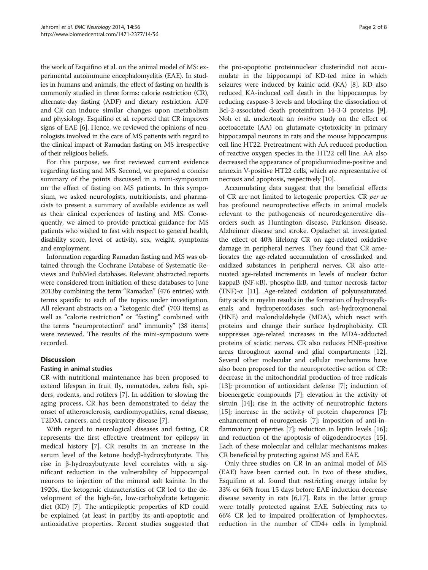the work of Esquifino et al. on the animal model of MS: experimental autoimmune encephalomyelitis (EAE). In studies in humans and animals, the effect of fasting on health is commonly studied in three forms: calorie restriction (CR), alternate-day fasting (ADF) and dietary restriction. ADF and CR can induce similar changes upon metabolism and physiology. Esquifino et al. reported that CR improves signs of EAE [[6\]](#page-6-0). Hence, we reviewed the opinions of neurologists involved in the care of MS patients with regard to the clinical impact of Ramadan fasting on MS irrespective of their religious beliefs.

For this purpose, we first reviewed current evidence regarding fasting and MS. Second, we prepared a concise summary of the points discussed in a mini-symposium on the effect of fasting on MS patients. In this symposium, we asked neurologists, nutritionists, and pharmacists to present a summary of available evidence as well as their clinical experiences of fasting and MS. Consequently, we aimed to provide practical guidance for MS patients who wished to fast with respect to general health, disability score, level of activity, sex, weight, symptoms and employment.

Information regarding Ramadan fasting and MS was obtained through the Cochrane Database of Systematic Reviews and PubMed databases. Relevant abstracted reports were considered from initiation of these databases to June 2013by combining the term "Ramadan" (476 entries) with terms specific to each of the topics under investigation. All relevant abstracts on a "ketogenic diet" (703 items) as well as "calorie restriction" or "fasting" combined with the terms "neuroprotection" and" immunity" (38 items) were reviewed. The results of the mini-symposium were recorded.

# **Discussion**

# Fasting in animal studies

CR with nutritional maintenance has been proposed to extend lifespan in fruit fly, nematodes, zebra fish, spiders, rodents, and rotifers [[7\]](#page-6-0). In addition to slowing the aging process, CR has been demonstrated to delay the onset of atherosclerosis, cardiomyopathies, renal disease, T2DM, cancers, and respiratory disease [\[7\]](#page-6-0).

With regard to neurological diseases and fasting, CR represents the first effective treatment for epilepsy in medical history [[7](#page-6-0)]. CR results in an increase in the serum level of the ketone bodyβ-hydroxybutyrate. This rise in β-hydroxybutyrate level correlates with a significant reduction in the vulnerability of hippocampal neurons to injection of the mineral salt kainite. In the 1920s, the ketogenic characteristics of CR led to the development of the high-fat, low-carbohydrate ketogenic diet (KD) [[7\]](#page-6-0). The antiepileptic properties of KD could be explained (at least in part)by its anti-apoptotic and antioxidative properties. Recent studies suggested that

the pro-apoptotic proteinnuclear clusterindid not accumulate in the hippocampi of KD-fed mice in which seizures were induced by kainic acid (KA) [[8](#page-6-0)]. KD also reduced KA-induced cell death in the hippocampus by reducing caspase-3 levels and blocking the dissociation of Bcl-2-associated death proteinfrom 14-3-3 proteins [[9](#page-6-0)]. Noh et al. undertook an invitro study on the effect of acetoacetate (AA) on glutamate cytotoxicity in primary hippocampal neurons in rats and the mouse hippocampus cell line HT22. Pretreatment with AA reduced production of reactive oxygen species in the HT22 cell line. AA also decreased the appearance of propidiumiodine-positive and annexin V-positive HT22 cells, which are representative of necrosis and apoptosis, respectively [[10\]](#page-6-0).

Accumulating data suggest that the beneficial effects of CR are not limited to ketogenic properties. CR per se has profound neuroprotective effects in animal models relevant to the pathogenesis of neurodegenerative disorders such as Huntington disease, Parkinson disease, Alzheimer disease and stroke. Opalachet al. investigated the effect of 40% lifelong CR on age-related oxidative damage in peripheral nerves. They found that CR ameliorates the age-related accumulation of crosslinked and oxidized substances in peripheral nerves. CR also attenuated age-related increments in levels of nuclear factor kappaB (NF-κB), phospho-IkB, and tumor necrosis factor (TNF)-α [\[11\]](#page-6-0). Age-related oxidation of polyunsaturated fatty acids in myelin results in the formation of hydroxyalkenals and hydroperoxidases such as4-hydroxynonenal (HNE) and malondialdehyde (MDA), which react with proteins and change their surface hydrophobicity. CR suppresses age-related increases in the MDA-adducted proteins of sciatic nerves. CR also reduces HNE-positive areas throughout axonal and glial compartments [[12](#page-6-0)]. Several other molecular and cellular mechanisms have also been proposed for the neuroprotective action of CR: decrease in the mitochondrial production of free radicals [[13](#page-6-0)]; promotion of antioxidant defense [\[7](#page-6-0)]; induction of bioenergetic compounds [[7\]](#page-6-0); elevation in the activity of sirtuin [[14](#page-6-0)]; rise in the activity of neurotrophic factors [[15](#page-6-0)]; increase in the activity of protein chaperones [[7](#page-6-0)]; enhancement of neurogenesis [[7\]](#page-6-0); imposition of anti-in-flammatory properties [\[7](#page-6-0)]; reduction in leptin levels [[16](#page-6-0)]; and reduction of the apoptosis of oligodendrocytes [[15](#page-6-0)]. Each of these molecular and cellular mechanisms makes CR beneficial by protecting against MS and EAE.

Only three studies on CR in an animal model of MS (EAE) have been carried out. In two of these studies, Esquifino et al. found that restricting energy intake by 33% or 66% from 15 days before EAE induction decrease disease severity in rats [\[6,17](#page-6-0)]. Rats in the latter group were totally protected against EAE. Subjecting rats to 66% CR led to impaired proliferation of lymphocytes, reduction in the number of CD4+ cells in lymphoid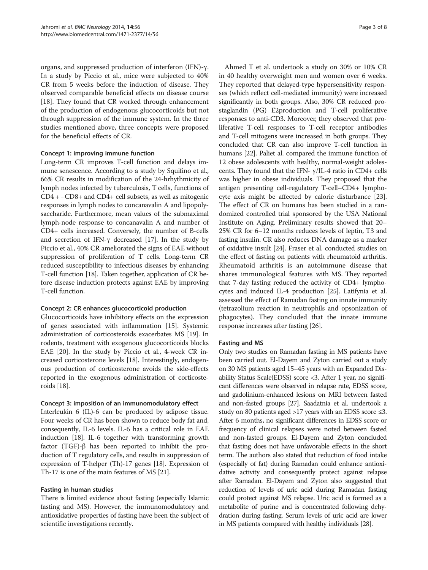organs, and suppressed production of interferon (IFN)-γ. In a study by Piccio et al., mice were subjected to 40% CR from 5 weeks before the induction of disease. They observed comparable beneficial effects on disease course [[18\]](#page-6-0). They found that CR worked through enhancement of the production of endogenous glucocorticoids but not through suppression of the immune system. In the three studies mentioned above, three concepts were proposed for the beneficial effects of CR.

#### Concept 1: improving immune function

Long-term CR improves T-cell function and delays immune senescence. According to a study by Squifino et al., 66% CR results in modification of the 24-hrhythmicity of lymph nodes infected by tuberculosis, T cells, functions of CD4 + −CD8+ and CD4+ cell subsets, as well as mitogenic responses in lymph nodes to concanavalin A and lipopolysaccharide. Furthermore, mean values of the submaximal lymph-node response to concanavalin A and number of CD4+ cells increased. Conversely, the number of B-cells and secretion of IFN- $\gamma$  decreased [\[17\]](#page-6-0). In the study by Piccio et al., 40% CR ameliorated the signs of EAE without suppression of proliferation of T cells. Long-term CR reduced susceptibility to infectious diseases by enhancing T-cell function [\[18\]](#page-6-0). Taken together, application of CR before disease induction protects against EAE by improving T-cell function.

# Concept 2: CR enhances glucocorticoid production

Glucocorticoids have inhibitory effects on the expression of genes associated with inflammation [[15](#page-6-0)]. Systemic administration of corticosteroids exacerbates MS [\[19](#page-6-0)]. In rodents, treatment with exogenous glucocorticoids blocks EAE [\[20](#page-6-0)]. In the study by Piccio et al., 4-week CR increased corticosterone levels [\[18\]](#page-6-0). Interestingly, endogenous production of corticosterone avoids the side-effects reported in the exogenous administration of corticosteroids [\[18\]](#page-6-0).

# Concept 3: imposition of an immunomodulatory effect

Interleukin 6 (IL)-6 can be produced by adipose tissue. Four weeks of CR has been shown to reduce body fat and, consequently, IL-6 levels. IL-6 has a critical role in EAE induction [\[18\]](#page-6-0). IL-6 together with transforming growth factor (TGF)-β has been reported to inhibit the production of T regulatory cells, and results in suppression of expression of T-helper (Th)-17 genes [[18](#page-6-0)]. Expression of Th-17 is one of the main features of MS [[21](#page-6-0)].

# Fasting in human studies

There is limited evidence about fasting (especially Islamic fasting and MS). However, the immunomodulatory and antioxidative properties of fasting have been the subject of scientific investigations recently.

Ahmed T et al. undertook a study on 30% or 10% CR in 40 healthy overweight men and women over 6 weeks. They reported that delayed-type hypersensitivity responses (which reflect cell-mediated immunity) were increased significantly in both groups. Also, 30% CR reduced prostaglandin (PG) E2production and T-cell proliferative responses to anti-CD3. Moreover, they observed that proliferative T-cell responses to T-cell receptor antibodies and T-cell mitogens were increased in both groups. They concluded that CR can also improve T-cell function in humans [[22\]](#page-6-0). Paliet al. compared the immune function of 12 obese adolescents with healthy, normal-weight adolescents. They found that the IFN-  $\gamma$ /IL-4 ratio in CD4+ cells was higher in obese individuals. They proposed that the antigen presenting cell-regulatory T-cell–CD4+ lymphocyte axis might be affected by calorie disturbance [[23](#page-6-0)]. The effect of CR on humans has been studied in a randomized controlled trial sponsored by the USA National Institute on Aging. Preliminary results showed that 20– 25% CR for 6–12 months reduces levels of leptin, T3 and fasting insulin. CR also reduces DNA damage as a marker of oxidative insult [[24](#page-6-0)]. Fraser et al. conducted studies on the effect of fasting on patients with rheumatoid arthritis. Rheumatoid arthritis is an autoimmune disease that shares immunological features with MS. They reported that 7-day fasting reduced the activity of CD4+ lymphocytes and induced IL-4 production [[25](#page-6-0)]. Latifynia et al. assessed the effect of Ramadan fasting on innate immunity (tetrazolium reaction in neutrophils and opsonization of phagocytes). They concluded that the innate immune response increases after fasting [\[26\]](#page-6-0).

# Fasting and MS

Only two studies on Ramadan fasting in MS patients have been carried out. El-Dayem and Zyton carried out a study on 30 MS patients aged 15–45 years with an Expanded Disability Status Scale(EDSS) score <3. After 1 year, no significant differences were observed in relapse rate, EDSS score, and gadolinium-enhanced lesions on MRI between fasted and non-fasted groups [\[27](#page-6-0)]. Saadatnia et al. undertook a study on 80 patients aged >17 years with an EDSS score ≤3. After 6 months, no significant differences in EDSS score or frequency of clinical relapses were noted between fasted and non-fasted groups. El-Dayem and Zyton concluded that fasting does not have unfavorable effects in the short term. The authors also stated that reduction of food intake (especially of fat) during Ramadan could enhance antioxidative activity and consequently protect against relapse after Ramadan. El-Dayem and Zyton also suggested that reduction of levels of uric acid during Ramadan fasting could protect against MS relapse. Uric acid is formed as a metabolite of purine and is concentrated following dehydration during fasting. Serum levels of uric acid are lower in MS patients compared with healthy individuals [[28](#page-6-0)].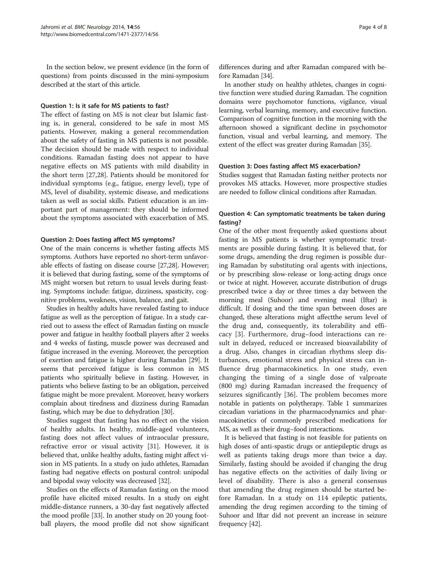In the section below, we present evidence (in the form of questions) from points discussed in the mini-symposium described at the start of this article.

#### Question 1: Is it safe for MS patients to fast?

The effect of fasting on MS is not clear but Islamic fasting is, in general, considered to be safe in most MS patients. However, making a general recommendation about the safety of fasting in MS patients is not possible. The decision should be made with respect to individual conditions. Ramadan fasting does not appear to have negative effects on MS patients with mild disability in the short term [\[27,28\]](#page-6-0). Patients should be monitored for individual symptoms (e.g., fatigue, energy level), type of MS, level of disability, systemic disease, and medications taken as well as social skills. Patient education is an important part of management: they should be informed about the symptoms associated with exacerbation of MS.

#### Question 2: Does fasting affect MS symptoms?

One of the main concerns is whether fasting affects MS symptoms. Authors have reported no short-term unfavorable effects of fasting on disease course [[27,28](#page-6-0)]. However; it is believed that during fasting, some of the symptoms of MS might worsen but return to usual levels during feasting. Symptoms include: fatigue, dizziness, spasticity, cognitive problems, weakness, vision, balance, and gait.

Studies in healthy adults have revealed fasting to induce fatigue as well as the perception of fatigue. In a study carried out to assess the effect of Ramadan fasting on muscle power and fatigue in healthy football players after 2 weeks and 4 weeks of fasting, muscle power was decreased and fatigue increased in the evening. Moreover, the perception of exertion and fatigue is higher during Ramadan [[29](#page-6-0)]. It seems that perceived fatigue is less common in MS patients who spiritually believe in fasting. However, in patients who believe fasting to be an obligation, perceived fatigue might be more prevalent. Moreover, heavy workers complain about tiredness and dizziness during Ramadan fasting, which may be due to dehydration [[30](#page-6-0)].

Studies suggest that fasting has no effect on the vision of healthy adults. In healthy, middle-aged volunteers, fasting does not affect values of intraocular pressure, refractive error or visual activity [\[31](#page-6-0)]. However, it is believed that, unlike healthy adults, fasting might affect vision in MS patients. In a study on judo athletes, Ramadan fasting had negative effects on postural control: unipodal and bipodal sway velocity was decreased [[32](#page-6-0)].

Studies on the effects of Ramadan fasting on the mood profile have elicited mixed results. In a study on eight middle-distance runners, a 30-day fast negatively affected the mood profile [\[33\]](#page-6-0). In another study on 20 young football players, the mood profile did not show significant

differences during and after Ramadan compared with before Ramadan [\[34\]](#page-6-0).

In another study on healthy athletes, changes in cognitive function were studied during Ramadan. The cognition domains were psychomotor functions, vigilance, visual learning, verbal learning, memory, and executive function. Comparison of cognitive function in the morning with the afternoon showed a significant decline in psychomotor function, visual and verbal learning, and memory. The extent of the effect was greater during Ramadan [\[35\]](#page-6-0).

#### Question 3: Does fasting affect MS exacerbation?

Studies suggest that Ramadan fasting neither protects nor provokes MS attacks. However, more prospective studies are needed to follow clinical conditions after Ramadan.

# Question 4: Can symptomatic treatments be taken during fasting?

One of the other most frequently asked questions about fasting in MS patients is whether symptomatic treatments are possible during fasting. It is believed that, for some drugs, amending the drug regimen is possible during Ramadan by substituting oral agents with injections, or by prescribing slow-release or long-acting drugs once or twice at night. However, accurate distribution of drugs prescribed twice a day or three times a day between the morning meal (Suhoor) and evening meal (Iftar) is difficult. If dosing and the time span between doses are changed, these alterations might affectthe serum level of the drug and, consequently, its tolerability and efficacy [[3\]](#page-6-0). Furthermore, drug–food interactions can result in delayed, reduced or increased bioavailability of a drug. Also, changes in circadian rhythms sleep disturbances, emotional stress and physical stress can influence drug pharmacokinetics. In one study, even changing the timing of a single dose of valproate (800 mg) during Ramadan increased the frequency of seizures significantly [[36\]](#page-6-0). The problem becomes more notable in patients on polytherapy. Table [1](#page-4-0) summarizes circadian variations in the pharmacodynamics and pharmacokinetics of commonly prescribed medications for MS, as well as their drug–food interactions.

It is believed that fasting is not feasible for patients on high doses of anti-spastic drugs or antiepileptic drugs as well as patients taking drugs more than twice a day. Similarly, fasting should be avoided if changing the drug has negative effects on the activities of daily living or level of disability. There is also a general consensus that amending the drug regimen should be started before Ramadan. In a study on 114 epileptic patients, amending the drug regimen according to the timing of Suhoor and Iftar did not prevent an increase in seizure frequency [[42](#page-7-0)].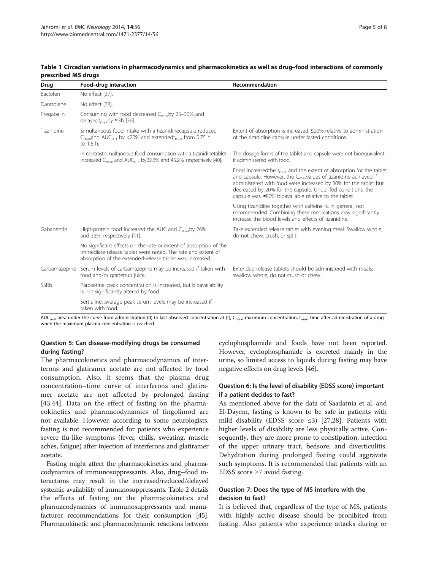| Drug          | Food-drug interaction                                                                                                                                                                        | Recommendation                                                                                                                                                                                                                                                                                                                                                     |
|---------------|----------------------------------------------------------------------------------------------------------------------------------------------------------------------------------------------|--------------------------------------------------------------------------------------------------------------------------------------------------------------------------------------------------------------------------------------------------------------------------------------------------------------------------------------------------------------------|
| Baclofen      | No effect [37].                                                                                                                                                                              |                                                                                                                                                                                                                                                                                                                                                                    |
| Dantrolene    | No effect [38].                                                                                                                                                                              |                                                                                                                                                                                                                                                                                                                                                                    |
| Pregabalin    | Consuming with food decreased $C_{\text{max}}$ by 25–30% and<br>delayedt <sub>max</sub> by $\approx 3h$ [39].                                                                                |                                                                                                                                                                                                                                                                                                                                                                    |
| Tizanidine    | Simultaneous food intake with a tizanidinecapsule reduced<br>$C_{\text{max}}$ and AUC <sub>0-t</sub> by <20% and extendedt <sub>max</sub> from 0.75 h<br>to 1.5 h.                           | Extent of absorption is increased $\leq$ 20% relative to administration<br>of the tizanidine capsule under fasted conditions.                                                                                                                                                                                                                                      |
|               | In contrast, simultaneous food consumption with a tizanidinetablet<br>increased C <sub>max</sub> and AUC <sub>o-t</sub> by 22.6% and 45.2%, respectively [40].                               | The dosage forms of the tablet and capsule were not bioequivalent<br>if administered with food.                                                                                                                                                                                                                                                                    |
|               |                                                                                                                                                                                              | Food increased the $t_{\text{max}}$ and the extent of absorption for the tablet<br>and capsule. However, the C <sub>max</sub> values of tizanidine achieved if<br>administered with food were increased by 30% for the tablet but<br>decreased by 20% for the capsule. Under fed conditions, the<br>capsule was $\approx$ 80% bioavailable relative to the tablet. |
|               |                                                                                                                                                                                              | Using tizanidine together with caffeine is, in general, not<br>recommended. Combining these medications may significantly<br>increase the blood levels and effects of tizanidine.                                                                                                                                                                                  |
| Gabapentin    | High-protein food increased the AUC and $C_{\text{max}}$ by 26%<br>and 32%, respectively [41].                                                                                               | Take extended release tablet with evening meal. Swallow whole;<br>do not chew, crush, or split.                                                                                                                                                                                                                                                                    |
|               | No significant effects on the rate or extent of absorption of the<br>immediate-release tablet were noted. The rate and extent of<br>absorption of the extended-release tablet was increased. |                                                                                                                                                                                                                                                                                                                                                                    |
| Carbamazepine | Serum levels of carbamazepine may be increased if taken with<br>food and/or grapefruit juice.                                                                                                | Extended-release tablets should be administered with meals:<br>swallow whole, do not crush or chew.                                                                                                                                                                                                                                                                |
| <b>SSRIs</b>  | Paroxetine: peak concentration is increased, but bioavailability<br>is not significantly altered by food.                                                                                    |                                                                                                                                                                                                                                                                                                                                                                    |
|               | Sertraline: average peak serum levels may be increased if<br>taken with food.                                                                                                                |                                                                                                                                                                                                                                                                                                                                                                    |

#### <span id="page-4-0"></span>Table 1 Circadian variations in pharmacodynamics and pharmacokinetics as well as drug–food interactions of commonly prescribed MS drugs

 $AUC_{o-v}$  area under the curve from administration (0) to last observed concentration at (t),  $C_{max}$  maximum concentration, t<sub>max</sub>, time after administration of a drug when the maximum plasma concentration is reached.

# Question 5: Can disease-modifying drugs be consumed during fasting?

The pharmacokinetics and pharmacodynamics of interferons and glatiramer acetate are not affected by food consumption. Also, it seems that the plasma drug concentration–time curve of interferons and glatiramer acetate are not affected by prolonged fasting [[43,44](#page-7-0)]. Data on the effect of fasting on the pharmacokinetics and pharmacodynamics of fingolimod are not available. However, according to some neurologists, fasting is not recommended for patients who experience severe flu-like symptoms (fever, chills, sweating, muscle aches, fatigue) after injection of interferons and glatiramer acetate.

Fasting might affect the pharmacokinetics and pharmacodynamics of immunosuppressants. Also, drug–food interactions may result in the increased/reduced/delayed systemic availability of immunosuppressants. Table [2](#page-5-0) details the effects of fasting on the pharmacokinetics and pharmacodynamics of immunosuppressants and manufacturer recommendations for their consumption [\[45](#page-7-0)]. Pharmacokinetic and pharmacodynamic reactions between

cyclophosphamide and foods have not been reported. However, cyclophosphamide is excreted mainly in the urine, so limited access to liquids during fasting may have negative effects on drug levels [\[46\]](#page-7-0).

# Question 6: Is the level of disability (EDSS score) important if a patient decides to fast?

As mentioned above for the data of Saadatnia et al. and El-Dayem, fasting is known to be safe in patients with mild disability (EDSS score ≤3) [\[27,28](#page-6-0)]. Patients with higher levels of disability are less physically active. Consequently, they are more prone to constipation, infection of the upper urinary tract, bedsore, and diverticulitis. Dehydration during prolonged fasting could aggravate such symptoms. It is recommended that patients with an EDSS score ≥7 avoid fasting.

# Question 7: Does the type of MS interfere with the decision to fast?

It is believed that, regardless of the type of MS, patients with highly active disease should be prohibited from fasting. Also patients who experience attacks during or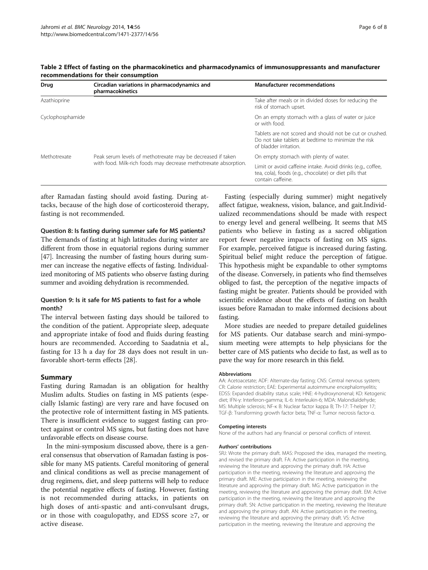| Drug             | Circadian variations in pharmacodynamics and<br>pharmacokinetics                                                                | <b>Manufacturer recommendations</b>                                                                                                        |
|------------------|---------------------------------------------------------------------------------------------------------------------------------|--------------------------------------------------------------------------------------------------------------------------------------------|
| Azathioprine     |                                                                                                                                 | Take after meals or in divided doses for reducing the<br>risk of stomach upset.                                                            |
| Cyclophosphamide |                                                                                                                                 | On an empty stomach with a glass of water or juice<br>or with food.                                                                        |
|                  |                                                                                                                                 | Tablets are not scored and should not be cut or crushed.<br>Do not take tablets at bedtime to minimize the risk<br>of bladder irritation.  |
| Methotrexate     | Peak serum levels of methotrexate may be decreased if taken<br>with food. Milk-rich foods may decrease methotrexate absorption. | On empty stomach with plenty of water.                                                                                                     |
|                  |                                                                                                                                 | Limit or avoid caffeine intake. Avoid drinks (e.g., coffee,<br>tea, cola), foods (e.g., chocolate) or diet pills that<br>contain caffeine. |

#### <span id="page-5-0"></span>Table 2 Effect of fasting on the pharmacokinetics and pharmacodynamics of immunosuppressants and manufacturer recommendations for their consumption

after Ramadan fasting should avoid fasting. During attacks, because of the high dose of corticosteroid therapy, fasting is not recommended.

#### Question 8: Is fasting during summer safe for MS patients?

The demands of fasting at high latitudes during winter are different from those in equatorial regions during summer [[47](#page-7-0)]. Increasing the number of fasting hours during summer can increase the negative effects of fasting. Individualized monitoring of MS patients who observe fasting during summer and avoiding dehydration is recommended.

#### Question 9: Is it safe for MS patients to fast for a whole month?

The interval between fasting days should be tailored to the condition of the patient. Appropriate sleep, adequate and appropriate intake of food and fluids during feasting hours are recommended. According to Saadatnia et al., fasting for 13 h a day for 28 days does not result in unfavorable short-term effects [[28](#page-6-0)].

#### Summary

Fasting during Ramadan is an obligation for healthy Muslim adults. Studies on fasting in MS patients (especially Islamic fasting) are very rare and have focused on the protective role of intermittent fasting in MS patients. There is insufficient evidence to suggest fasting can protect against or control MS signs, but fasting does not have unfavorable effects on disease course.

In the mini-symposium discussed above, there is a general consensus that observation of Ramadan fasting is possible for many MS patients. Careful monitoring of general and clinical conditions as well as precise management of drug regimens, diet, and sleep patterns will help to reduce the potential negative effects of fasting. However, fasting is not recommended during attacks, in patients on high doses of anti-spastic and anti-convulsant drugs, or in those with coagulopathy, and EDSS score  $\geq 7$ , or active disease.

Fasting (especially during summer) might negatively affect fatigue, weakness, vision, balance, and gait.Individualized recommendations should be made with respect to energy level and general wellbeing. It seems that MS patients who believe in fasting as a sacred obligation report fewer negative impacts of fasting on MS signs. For example, perceived fatigue is increased during fasting. Spiritual belief might reduce the perception of fatigue. This hypothesis might be expandable to other symptoms of the disease. Conversely, in patients who find themselves obliged to fast, the perception of the negative impacts of fasting might be greater. Patients should be provided with scientific evidence about the effects of fasting on health issues before Ramadan to make informed decisions about fasting.

More studies are needed to prepare detailed guidelines for MS patients. Our database search and mini-symposium meeting were attempts to help physicians for the better care of MS patients who decide to fast, as well as to pave the way for more research in this field.

#### Abbreviations

AA: Acetoacetate; ADF: Alternate-day fasting; CNS: Central nervous system; CR: Calorie restriction; EAE: Experimental autoimmune encephalomyelitis; EDSS: Expanded disability status scale; HNE: 4-hydroxynonenal; KD: Ketogenic diet; IFN-γ: Interferon-gamma; IL-6: Interleukin-6; MDA: Malondialdehyde; MS: Multiple sclerosis; NF-κ B: Nuclear factor kappa B; Th-17: T-helper 17; TGF-β: Transforming growth factor beta; TNF-α: Tumor necrosis factor-α.

#### Competing interests

None of the authors had any financial or personal conflicts of interest.

#### Authors' contributions

SRJ: Wrote the primary draft. MAS: Proposed the idea, managed the meeting, and revised the primary draft. FA: Active participation in the meeting, reviewing the literature and approving the primary draft. HA: Active participation in the meeting, reviewing the literature and approving the primary draft. ME: Active participation in the meeting, reviewing the literature and approving the primary draft. MG: Active participation in the meeting, reviewing the literature and approving the primary draft. EM: Active participation in the meeting, reviewing the literature and approving the primary draft. SN: Active participation in the meeting, reviewing the literature and approving the primary draft. AN: Active participation in the meeting, reviewing the literature and approving the primary draft. VS: Active participation in the meeting, reviewing the literature and approving the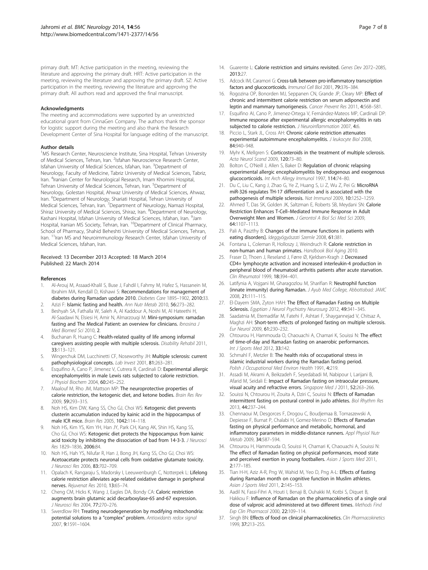<span id="page-6-0"></span>primary draft. MT: Active participation in the meeting, reviewing the literature and approving the primary draft. HRT: Active participation in the meeting, reviewing the literature and approving the primary draft. SZ: Active participation in the meeting, reviewing the literature and approving the primary draft. All authors read and approved the final manuscript.

#### Acknowledgments

The meeting and accommodations were supported by an unrestricted educational grant from CinnaGen Company. The authors thank the sponsor for logistic support during the meeting and also thank the Research Development Center of Sina Hospital for language editing of the manuscript.

#### Author details

<sup>1</sup>MS Research Center, Neuroscience Institute, Sina Hospital, Tehran University of Medical Sciences, Tehran, Iran. <sup>2</sup>Isfahan Neuroscience Research Center, Isfahan University of Medical Sciences, Isfahan, Iran. <sup>3</sup>Department of Neurology, Faculty of Medicine, Tabriz University of Medical Sciences, Tabriz, Iran. <sup>4</sup>Iranian Center for Neurological Research, Imam Khomini Hospital, Tehran University of Medical Sciences, Tehran, Iran. <sup>5</sup>Department of Neurology, Golestan Hospital, Ahwaz University of Medical Sciences, Ahwaz, Iran. <sup>6</sup>Department of Neurology, Shariati Hospital, Tehran University of Medical Sciences, Tehran, Iran. <sup>7</sup>Department of Neurology, Namazi Hospital, Shiraz University of Medical Sciences, Shiraz, Iran. <sup>8</sup>Department of Neurology, Kashani Hospital, Isfahan University of Medical Sciences, Isfahan, Iran. <sup>9</sup>Jam Hospital, Iranian MS Society, Tehran, Iran. <sup>10</sup>Department of Clinical Pharmacy, School of Pharmacy, Shahid Beheshti University of Medical Sciences, Tehran, Iran. <sup>11</sup>Iran MS and Neuroimmunology Research Center, Isfahan University of Medical Sciences, Isfahan, Iran.

#### Received: 13 December 2013 Accepted: 18 March 2014 Published: 22 March 2014

#### References

- 1. Al-Arouj M, Assaad-Khalil S, Buse J, Fahdil I, Fahmy M, Hafez S, Hassanein M, Ibrahim MA, Kendall D, Kishawi S: Recommendations for management of diabetes during Ramadan update 2010. Diabetes Care 1895–1902, 2010:33.
- 2. Azizi F: Islamic fasting and health. Ann Nutr Metab 2010, 56:273–282.
- 3. Beshyah SA, Fathalla W, Saleh A, Al Kaddour A, Noshi M, Al Hateethi H, Al-Saadawi N, Elsiesi H, Amir N, Almarzouqi M: Mini-symposium: ramadan fasting and The Medical Patient: an overview for clinicians. Ibnosina J Med Biomed Sci 2010, 2.
- 4. Buchanan R, Huang C: Health-related quality of life among informal caregivers assisting people with multiple sclerosis. Disability Rehabil 2011, 33:113–121.
- 5. Wingerchuk DM, Lucchinetti CF, Noseworthy JH: Multiple sclerosis: current pathophysiological concepts. Lab Invest 2001, 81:263–281.
- 6. Esquifino A, Cano P, Jimenez V, Cutrera R, Cardinali D: Experimental allergic encephalomyelitis in male Lewis rats subjected to calorie restriction. J Physiol Biochem 2004, 60:245–252.
- 7. Maalouf M, Rho JM, Mattson MP: The neuroprotective properties of calorie restriction, the ketogenic diet, and ketone bodies. Brain Res Rev 2009, 59:293–315.
- Noh HS, Kim DW, Kang SS, Cho GJ, Choi WS: Ketogenic diet prevents clusterin accumulation induced by kainic acid in the hippocampus of male ICR mice. Brain Res 2005, 1042:114–118.
- 9. Noh HS, Kim YS, Kim YH, Han JY, Park CH, Kang AK, Shin HS, Kang SS, Cho GJ, Choi WS: Ketogenic diet protects the hippocampus from kainic acid toxicity by inhibiting the dissociation of bad from 14-3-3. J Neurosci Res 1829–1836, 2006:84.
- 10. Noh HS, Hah YS, Nilufar R, Han J, Bong JH, Kang SS, Cho GJ, Choi WS: Acetoacetate protects neuronal cells from oxidative glutamate toxicity. J Neurosci Res 2006, 83:702–709.
- 11. Opalach K, Rangaraju S, Madorsky I, Leeuwenburgh C, Notterpek L: Lifelong calorie restriction alleviates age-related oxidative damage in peripheral nerves. Rejuvenat Res 2010, 13:65–74.
- 12. Cheng CM, Hicks K, Wang J, Eagles DA, Bondy CA: Caloric restriction augments brain glutamic acid decarboxylase‐65 and‐67 expression. J Neurosci Res 2004, 77:270–276.
- 13. Swerdlow RH: Treating neurodegeneration by modifying mitochondria: potential solutions to a "complex" problem. Antioxidants redox signal 2007, 9:1591–1604.
- 14. Guarente L: Calorie restriction and sirtuins revisited. Genes Dev 2072-2085, 2013:27.
- 15. Adcock IM, Caramori G: Cross-talk between pro-inflammatory transcription factors and glucocorticoids. Immunol Cell Biol 2001, 79:376-384
- 16. Rogozina OP, Bonorden MJ, Seppanen CN, Grande JP, Cleary MP: Effect of chronic and intermittent calorie restriction on serum adiponectin and leptin and mammary tumorigenesis. Cancer Prevent Res 2011, 4:568–581.
- 17. Esquifino AI, Cano P, Jimenez-Ortega V, Fernández-Mateos MP, Cardinali DP: Immune response after experimental allergic encephalomyelitis in rats subjected to calorie restriction. J Neuroinflammation 2007, 4:6.
- 18. Piccio L, Stark JL, Cross AH: Chronic calorie restriction attenuates experimental autoimmune encephalomyelitis. J leukocyte Biol 2008, 84:940–948.
- 19. Myhr K, Mellgren S: Corticosteroids in the treatment of multiple sclerosis. Acta Neurol Scand 2009, 120:73-80.
- 20. Bolton C, O'Neill J, Allen S, Baker D: Regulation of chronic relapsing experimental allergic encephalomyelitis by endogenous and exogenous glucocorticoids. Int Arch Allergy Immunol 1997, 114:74–80.
- 21. Du C, Liu C, Kang J, Zhao G, Ye Z, Huang S, Li Z, Wu Z, Pei G: MicroRNA miR-326 regulates TH-17 differentiation and is associated with the pathogenesis of multiple sclerosis. Nat Immunol 2009, 10:1252–1259.
- 22. Ahmed T, Das SK, Golden JK, Saltzman E, Roberts SB, Meydani SN: Calorie Restriction Enhances T-Cell–Mediated Immune Response in Adult Overweight Men and Women. J Gerontol A Biol Sci Med Sci 2009, 64:1107–1113.
- 23. Pali A, Paszthy B: Changes of the immune functions in patients with eating disorders]. Ideggyógyászati Szemle 2008, 61:381.
- 24. Fontana L, Coleman R, Holloszy J, Weindruch R: Calorie restriction in non-human and human primates. Handbook Biol Aging 2010.
- 25. Fraser D, Thoen J, Reseland J, Førre Ø, Kjeldsen-Kragh J: Decreased CD4+ lymphocyte activation and increased interleukin-4 production in peripheral blood of rheumatoid arthritis patients after acute starvation. Clin Rheumatol 1999, 18:394–401.
- 26. Latifynia A, Vojgani M, Gharagozlou M, Sharifian R: Neutrophil function (innate immunity) during Ramadan. J Ayub Med College, Abbottabad: JAMC 2008, 21:111–115.
- 27. El-Dayem SMA, Zyton HAH: The Effect of Ramadan Fasting on Multiple Sclerosis. Egyptian J Neurol Psychiatry Neurosurg 2012, 49:341-345.
- 28. Saadatnia M, Etemadifar M, Fatehi F, Ashtari F, Shaygannejad V, Chitsaz A, Maghzi AH: Short-term effects of prolonged fasting on multiple sclerosis. Eur Neurol 2009, 61:230–232.
- 29. Chtourou H, Hammouda O, Chaouachi A, Chamari K, Souissi N: The effect of time-of-day and Ramadan fasting on anaerobic performances. Int J Sports Med 2012, 33:142.
- 30. Schmahl F, Metzler B: The health risks of occupational stress in islamic industrial workers during the Ramadan fasting period. Polish J Occupational Med Environ Health 1991, 4:219.
- 31. Assadi M, Akrami A, Beikzadeh F, Seyedabadi M, Nabipour I, Larijani B, Afarid M, Seidali E: Impact of Ramadan fasting on intraocular pressure, visual acuity and refractive errors. Singapore Med J 2011, 52:263-266.
- 32. Souissi N, Chtourou H, Zouita A, Dziri C, Souissi N: Effects of Ramadan intermittent fasting on postural control in judo athletes. Biol Rhythm Res 2013, 44:237–244.
- 33. Chennaoui M, Desgorces F, Drogou C, Boudjemaa B, Tomaszewski A, Depiesse F, Burnat P, Chalabi H, Gomez-Merino D: Effects of Ramadan fasting on physical performance and metabolic, hormonal, and inflammatory parameters in middle-distance runners. Appl Physiol Nutr Metab 2009, 34:587–594.
- 34. Chtourou H, Hammouda O, Souissi H, Chamari K, Chaouachi A, Souissi N: The effect of Ramadan fasting on physical performances, mood state and perceived exertion in young footballers. Asian J Sports Med 2011, 2:177–185.
- 35. Tian H-H, Aziz A-R, Png W, Wahid M, Yeo D, Png A-L: Effects of fasting during Ramadan month on cognitive function in Muslim athletes. Asian J Sports Med 2011, 2:145–153.
- 36. Aadil N, Fassi-Fihri A, Houti I, Benaji B, Ouhakki M, Kotbi S, Diquet B, Hakkou F: Influence of Ramadan on the pharmacokinetics of a single oral dose of valproic acid administered at two different times. Methods Find Exp Clin Pharmacol 2000, 22:109–114.
- 37. Singh BN: Effects of food on clinical pharmacokinetics. Clin Pharmacokinetics 1999, 37:213–255.